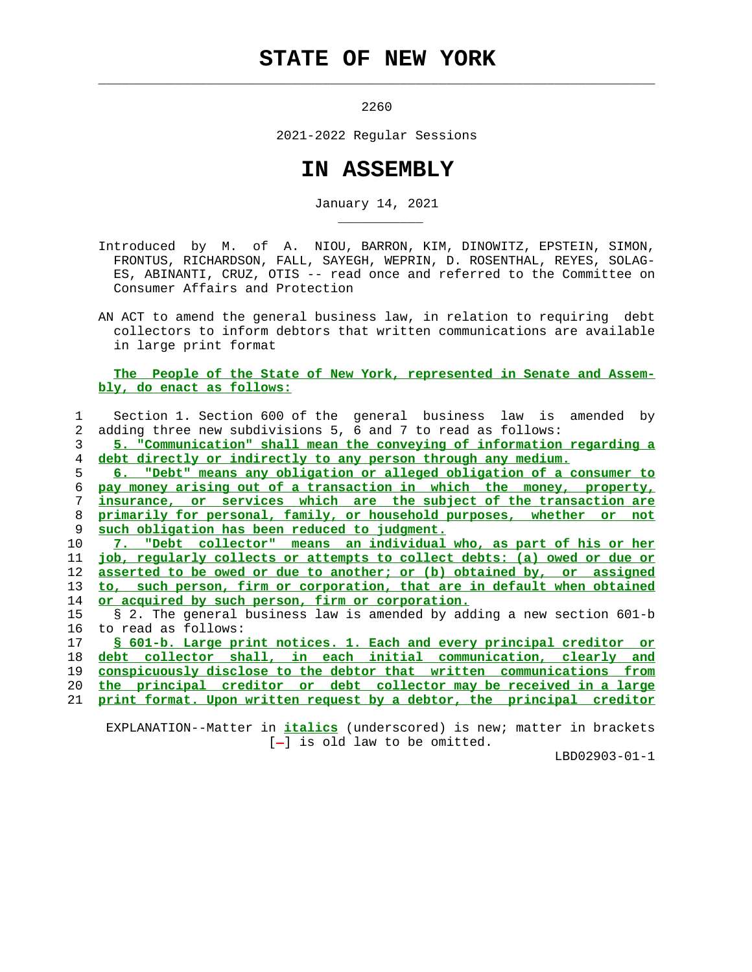## **STATE OF NEW YORK**

 $\mathcal{L}_\text{max} = \frac{1}{2} \sum_{i=1}^{n} \frac{1}{2} \sum_{i=1}^{n} \frac{1}{2} \sum_{i=1}^{n} \frac{1}{2} \sum_{i=1}^{n} \frac{1}{2} \sum_{i=1}^{n} \frac{1}{2} \sum_{i=1}^{n} \frac{1}{2} \sum_{i=1}^{n} \frac{1}{2} \sum_{i=1}^{n} \frac{1}{2} \sum_{i=1}^{n} \frac{1}{2} \sum_{i=1}^{n} \frac{1}{2} \sum_{i=1}^{n} \frac{1}{2} \sum_{i=1}^{n} \frac{1$ 

\_\_\_\_\_\_\_\_\_\_\_

2260

2021-2022 Regular Sessions

## **IN ASSEMBLY**

January 14, 2021

 Introduced by M. of A. NIOU, BARRON, KIM, DINOWITZ, EPSTEIN, SIMON, FRONTUS, RICHARDSON, FALL, SAYEGH, WEPRIN, D. ROSENTHAL, REYES, SOLAG- ES, ABINANTI, CRUZ, OTIS -- read once and referred to the Committee on Consumer Affairs and Protection

 AN ACT to amend the general business law, in relation to requiring debt collectors to inform debtors that written communications are available in large print format

## **The People of the State of New York, represented in Senate and Assem bly, do enact as follows:**

|    | Section 1. Section 600 of the general business law is amended by         |
|----|--------------------------------------------------------------------------|
| 2  | adding three new subdivisions 5, 6 and 7 to read as follows:             |
| 3  | 5. "Communication" shall mean the conveying of information regarding a   |
| 4  | debt directly or indirectly to any person through any medium.            |
| 5. | 6. "Debt" means any obligation or alleged obligation of a consumer to    |
| 6  | pay money arising out of a transaction in which the money, property,     |
| 7  | insurance, or services which are the subject of the transaction are      |
| 8  | primarily for personal, family, or household purposes, whether or not    |
| 9  | such obligation has been reduced to judgment.                            |
| 10 | 7. "Debt collector" means an individual who, as part of his or her       |
| 11 | job, regularly collects or attempts to collect debts: (a) owed or due or |
| 12 | asserted to be owed or due to another; or (b) obtained by, or assigned   |
| 13 | to, such person, firm or corporation, that are in default when obtained  |
| 14 | or acquired by such person, firm or corporation.                         |
| 15 | § 2. The general business law is amended by adding a new section 601-b   |
| 16 | to read as follows:                                                      |
| 17 | § 601-b. Large print notices. 1. Each and every principal creditor or    |
| 18 | debt collector shall, in each initial communication, clearly and         |
| 19 | conspicuously disclose to the debtor that written communications from    |
| 20 | the principal creditor or debt collector may be received in a large      |
| 21 | print format. Upon written request by a debtor, the principal creditor   |
|    |                                                                          |

 EXPLANATION--Matter in **italics** (underscored) is new; matter in brackets  $[-]$  is old law to be omitted.

LBD02903-01-1